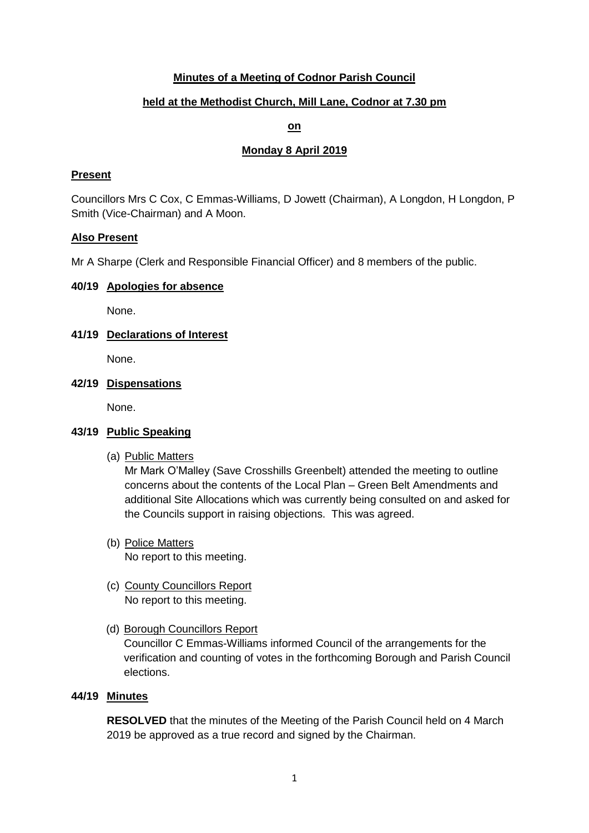# **Minutes of a Meeting of Codnor Parish Council**

## **held at the Methodist Church, Mill Lane, Codnor at 7.30 pm**

## **on**

## **Monday 8 April 2019**

## **Present**

Councillors Mrs C Cox, C Emmas-Williams, D Jowett (Chairman), A Longdon, H Longdon, P Smith (Vice-Chairman) and A Moon.

#### **Also Present**

Mr A Sharpe (Clerk and Responsible Financial Officer) and 8 members of the public.

#### **40/19 Apologies for absence**

None.

## **41/19 Declarations of Interest**

None.

#### **42/19 Dispensations**

None.

## **43/19 Public Speaking**

(a) Public Matters

Mr Mark O'Malley (Save Crosshills Greenbelt) attended the meeting to outline concerns about the contents of the Local Plan – Green Belt Amendments and additional Site Allocations which was currently being consulted on and asked for the Councils support in raising objections. This was agreed.

- (b) Police Matters No report to this meeting.
- (c) County Councillors Report No report to this meeting.
- (d) Borough Councillors Report

Councillor C Emmas-Williams informed Council of the arrangements for the verification and counting of votes in the forthcoming Borough and Parish Council elections.

#### **44/19 Minutes**

**RESOLVED** that the minutes of the Meeting of the Parish Council held on 4 March 2019 be approved as a true record and signed by the Chairman.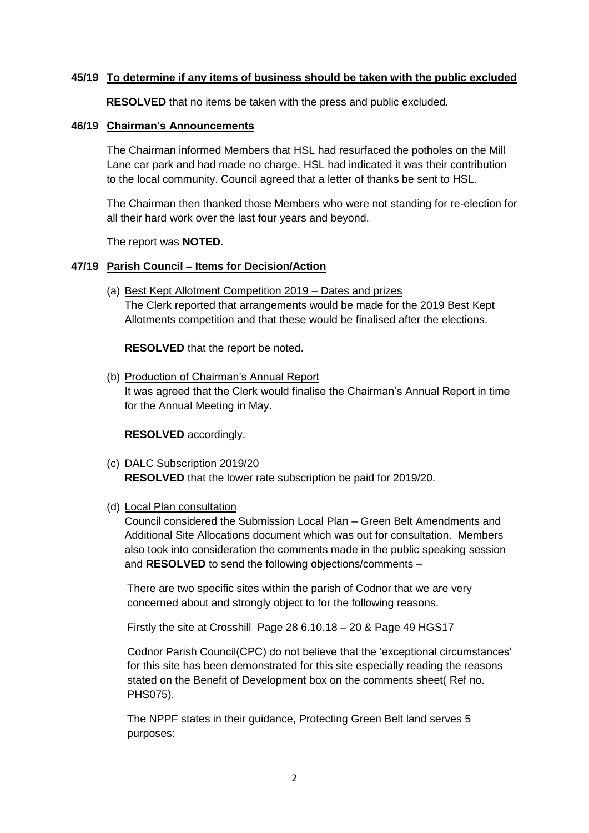## **45/19 To determine if any items of business should be taken with the public excluded**

**RESOLVED** that no items be taken with the press and public excluded.

#### **46/19 Chairman's Announcements**

The Chairman informed Members that HSL had resurfaced the potholes on the Mill Lane car park and had made no charge. HSL had indicated it was their contribution to the local community. Council agreed that a letter of thanks be sent to HSL.

The Chairman then thanked those Members who were not standing for re-election for all their hard work over the last four years and beyond.

The report was **NOTED**.

## **47/19 Parish Council – Items for Decision/Action**

(a) Best Kept Allotment Competition 2019 – Dates and prizes The Clerk reported that arrangements would be made for the 2019 Best Kept Allotments competition and that these would be finalised after the elections.

**RESOLVED** that the report be noted.

(b) Production of Chairman's Annual Report It was agreed that the Clerk would finalise the Chairman's Annual Report in time for the Annual Meeting in May.

**RESOLVED** accordingly.

(c) DALC Subscription 2019/20 **RESOLVED** that the lower rate subscription be paid for 2019/20.

#### (d) Local Plan consultation

Council considered the Submission Local Plan – Green Belt Amendments and Additional Site Allocations document which was out for consultation. Members also took into consideration the comments made in the public speaking session and **RESOLVED** to send the following objections/comments –

There are two specific sites within the parish of Codnor that we are very concerned about and strongly object to for the following reasons.

Firstly the site at Crosshill Page 28 6.10.18 – 20 & Page 49 HGS17

Codnor Parish Council(CPC) do not believe that the 'exceptional circumstances' for this site has been demonstrated for this site especially reading the reasons stated on the Benefit of Development box on the comments sheet( Ref no. PHS075).

The NPPF states in their guidance, Protecting Green Belt land serves 5 purposes: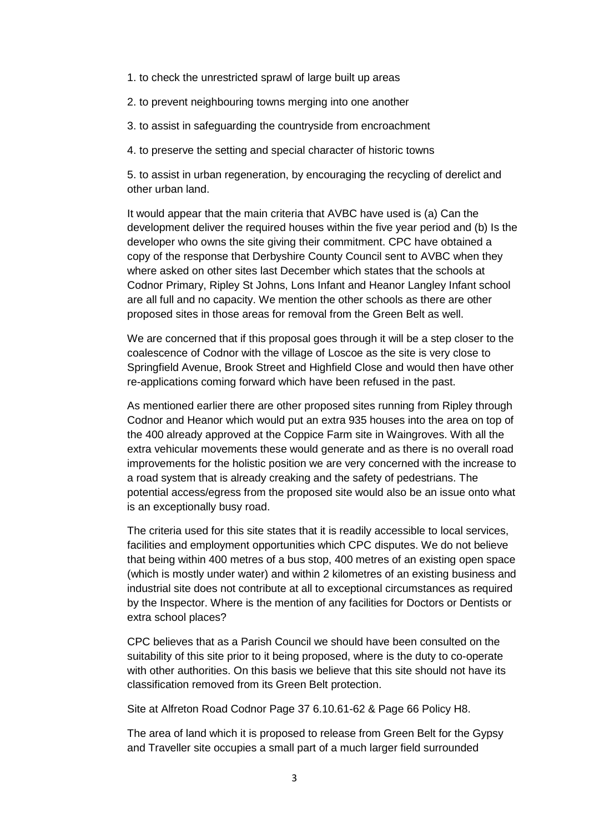1. to check the unrestricted sprawl of large built up areas

2. to prevent neighbouring towns merging into one another

- 3. to assist in safeguarding the countryside from encroachment
- 4. to preserve the setting and special character of historic towns

5. to assist in urban regeneration, by encouraging the recycling of derelict and other urban land.

It would appear that the main criteria that AVBC have used is (a) Can the development deliver the required houses within the five year period and (b) Is the developer who owns the site giving their commitment. CPC have obtained a copy of the response that Derbyshire County Council sent to AVBC when they where asked on other sites last December which states that the schools at Codnor Primary, Ripley St Johns, Lons Infant and Heanor Langley Infant school are all full and no capacity. We mention the other schools as there are other proposed sites in those areas for removal from the Green Belt as well.

We are concerned that if this proposal goes through it will be a step closer to the coalescence of Codnor with the village of Loscoe as the site is very close to Springfield Avenue, Brook Street and Highfield Close and would then have other re-applications coming forward which have been refused in the past.

As mentioned earlier there are other proposed sites running from Ripley through Codnor and Heanor which would put an extra 935 houses into the area on top of the 400 already approved at the Coppice Farm site in Waingroves. With all the extra vehicular movements these would generate and as there is no overall road improvements for the holistic position we are very concerned with the increase to a road system that is already creaking and the safety of pedestrians. The potential access/egress from the proposed site would also be an issue onto what is an exceptionally busy road.

The criteria used for this site states that it is readily accessible to local services, facilities and employment opportunities which CPC disputes. We do not believe that being within 400 metres of a bus stop, 400 metres of an existing open space (which is mostly under water) and within 2 kilometres of an existing business and industrial site does not contribute at all to exceptional circumstances as required by the Inspector. Where is the mention of any facilities for Doctors or Dentists or extra school places?

CPC believes that as a Parish Council we should have been consulted on the suitability of this site prior to it being proposed, where is the duty to co-operate with other authorities. On this basis we believe that this site should not have its classification removed from its Green Belt protection.

Site at Alfreton Road Codnor Page 37 6.10.61-62 & Page 66 Policy H8.

The area of land which it is proposed to release from Green Belt for the Gypsy and Traveller site occupies a small part of a much larger field surrounded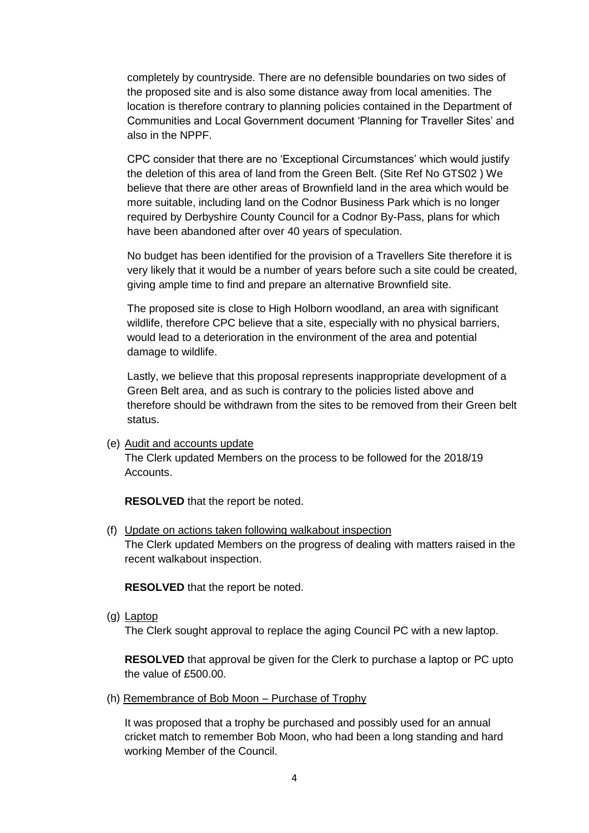completely by countryside. There are no defensible boundaries on two sides of the proposed site and is also some distance away from local amenities. The location is therefore contrary to planning policies contained in the Department of Communities and Local Government document 'Planning for Traveller Sites' and also in the NPPF.

CPC consider that there are no 'Exceptional Circumstances' which would justify the deletion of this area of land from the Green Belt. (Site Ref No GTS02 ) We believe that there are other areas of Brownfield land in the area which would be more suitable, including land on the Codnor Business Park which is no longer required by Derbyshire County Council for a Codnor By-Pass, plans for which have been abandoned after over 40 years of speculation.

No budget has been identified for the provision of a Travellers Site therefore it is very likely that it would be a number of years before such a site could be created, giving ample time to find and prepare an alternative Brownfield site.

The proposed site is close to High Holborn woodland, an area with significant wildlife, therefore CPC believe that a site, especially with no physical barriers, would lead to a deterioration in the environment of the area and potential damage to wildlife.

Lastly, we believe that this proposal represents inappropriate development of a Green Belt area, and as such is contrary to the policies listed above and therefore should be withdrawn from the sites to be removed from their Green belt status.

(e) Audit and accounts update

The Clerk updated Members on the process to be followed for the 2018/19 Accounts.

**RESOLVED** that the report be noted.

(f) Update on actions taken following walkabout inspection

The Clerk updated Members on the progress of dealing with matters raised in the recent walkabout inspection.

**RESOLVED** that the report be noted.

(g) Laptop

The Clerk sought approval to replace the aging Council PC with a new laptop.

**RESOLVED** that approval be given for the Clerk to purchase a laptop or PC upto the value of £500.00.

(h) Remembrance of Bob Moon – Purchase of Trophy

It was proposed that a trophy be purchased and possibly used for an annual cricket match to remember Bob Moon, who had been a long standing and hard working Member of the Council.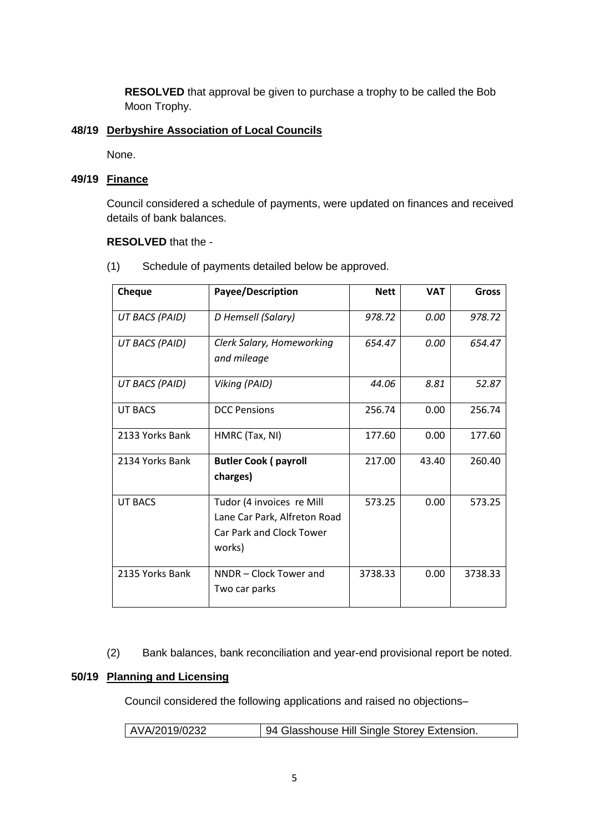**RESOLVED** that approval be given to purchase a trophy to be called the Bob Moon Trophy.

## **48/19 Derbyshire Association of Local Councils**

None.

## **49/19 Finance**

Council considered a schedule of payments, were updated on finances and received details of bank balances.

#### **RESOLVED** that the -

(1) Schedule of payments detailed below be approved.

| Cheque          | Payee/Description                                                                                      | <b>Nett</b> | <b>VAT</b> | <b>Gross</b> |
|-----------------|--------------------------------------------------------------------------------------------------------|-------------|------------|--------------|
| UT BACS (PAID)  | D Hemsell (Salary)                                                                                     | 978.72      | 0.00       | 978.72       |
| UT BACS (PAID)  | Clerk Salary, Homeworking<br>and mileage                                                               | 654.47      | 0.00       | 654.47       |
| UT BACS (PAID)  | Viking (PAID)                                                                                          | 44.06       | 8.81       | 52.87        |
| <b>UT BACS</b>  | <b>DCC Pensions</b>                                                                                    | 256.74      | 0.00       | 256.74       |
| 2133 Yorks Bank | HMRC (Tax, NI)                                                                                         | 177.60      | 0.00       | 177.60       |
| 2134 Yorks Bank | <b>Butler Cook (payroll</b><br>charges)                                                                | 217.00      | 43.40      | 260.40       |
| <b>UT BACS</b>  | Tudor (4 invoices re Mill<br>Lane Car Park, Alfreton Road<br><b>Car Park and Clock Tower</b><br>works) | 573.25      | 0.00       | 573.25       |
| 2135 Yorks Bank | NNDR - Clock Tower and<br>Two car parks                                                                | 3738.33     | 0.00       | 3738.33      |

(2) Bank balances, bank reconciliation and year-end provisional report be noted.

## **50/19 Planning and Licensing**

Council considered the following applications and raised no objections–